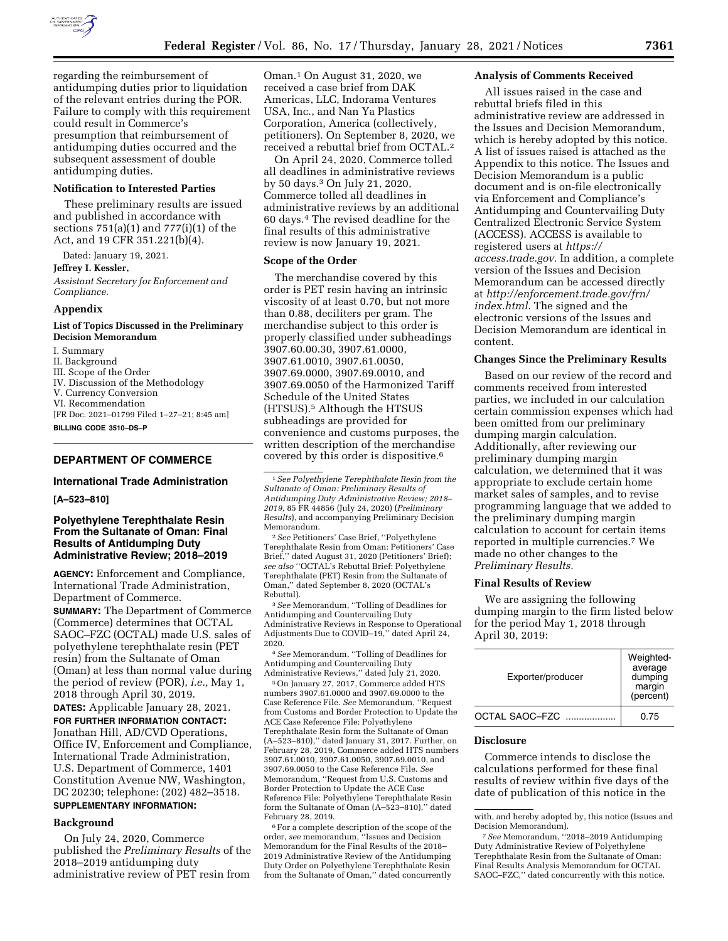

regarding the reimbursement of antidumping duties prior to liquidation of the relevant entries during the POR. Failure to comply with this requirement could result in Commerce's presumption that reimbursement of antidumping duties occurred and the subsequent assessment of double antidumping duties.

## **Notification to Interested Parties**

These preliminary results are issued and published in accordance with sections 751(a)(1) and 777(i)(1) of the Act, and 19 CFR 351.221(b)(4).

Dated: January 19, 2021.

#### **Jeffrey I. Kessler,**

*Assistant Secretary for Enforcement and Compliance.* 

#### **Appendix**

# **List of Topics Discussed in the Preliminary Decision Memorandum**

I. Summary

- II. Background
- III. Scope of the Order
- IV. Discussion of the Methodology
- V. Currency Conversion
- VI. Recommendation

[FR Doc. 2021–01799 Filed 1–27–21; 8:45 am]

**BILLING CODE 3510–DS–P** 

## **DEPARTMENT OF COMMERCE**

#### **International Trade Administration**

**[A–523–810]** 

# **Polyethylene Terephthalate Resin From the Sultanate of Oman: Final Results of Antidumping Duty Administrative Review; 2018–2019**

**AGENCY:** Enforcement and Compliance, International Trade Administration, Department of Commerce.

**SUMMARY:** The Department of Commerce (Commerce) determines that OCTAL SAOC–FZC (OCTAL) made U.S. sales of polyethylene terephthalate resin (PET resin) from the Sultanate of Oman (Oman) at less than normal value during the period of review (POR), *i.e.,* May 1, 2018 through April 30, 2019.

**DATES:** Applicable January 28, 2021. **FOR FURTHER INFORMATION CONTACT:**  Jonathan Hill, AD/CVD Operations, Office IV, Enforcement and Compliance, International Trade Administration, U.S. Department of Commerce, 1401 Constitution Avenue NW, Washington, DC 20230; telephone: (202) 482–3518. **SUPPLEMENTARY INFORMATION:** 

#### **Background**

On July 24, 2020, Commerce published the *Preliminary Results* of the 2018–2019 antidumping duty administrative review of PET resin from

Oman.1 On August 31, 2020, we received a case brief from DAK Americas, LLC, Indorama Ventures USA, Inc., and Nan Ya Plastics Corporation, America (collectively, petitioners). On September 8, 2020, we received a rebuttal brief from OCTAL.2

On April 24, 2020, Commerce tolled all deadlines in administrative reviews by 50 days.3 On July 21, 2020, Commerce tolled all deadlines in administrative reviews by an additional 60 days.4 The revised deadline for the final results of this administrative review is now January 19, 2021.

# **Scope of the Order**

The merchandise covered by this order is PET resin having an intrinsic viscosity of at least 0.70, but not more than 0.88, deciliters per gram. The merchandise subject to this order is properly classified under subheadings 3907.60.00.30, 3907.61.0000, 3907.61.0010, 3907.61.0050, 3907.69.0000, 3907.69.0010, and 3907.69.0050 of the Harmonized Tariff Schedule of the United States (HTSUS).5 Although the HTSUS subheadings are provided for convenience and customs purposes, the written description of the merchandise covered by this order is dispositive.6

1*See Polyethylene Terephthalate Resin from the Sultanate of Oman: Preliminary Results of Antidumping Duty Administrative Review; 2018– 2019,* 85 FR 44856 (July 24, 2020) (*Preliminary Results*), and accompanying Preliminary Decision Memorandum.

2*See* Petitioners' Case Brief, ''Polyethylene Terephthalate Resin from Oman: Petitioners' Case Brief,'' dated August 31, 2020 (Petitioners' Brief); *see also* ''OCTAL's Rebuttal Brief: Polyethylene Terephthalate (PET) Resin from the Sultanate of Oman,'' dated September 8, 2020 (OCTAL's Rebuttal).

3*See* Memorandum, ''Tolling of Deadlines for Antidumping and Countervailing Duty Administrative Reviews in Response to Operational Adjustments Due to COVID–19,'' dated April 24, 2020.

4*See* Memorandum, ''Tolling of Deadlines for Antidumping and Countervailing Duty Administrative Reviews,'' dated July 21, 2020.

5On January 27, 2017, Commerce added HTS numbers 3907.61.0000 and 3907.69.0000 to the Case Reference File. *See* Memorandum, ''Request from Customs and Border Protection to Update the ACE Case Reference File: Polyethylene Terephthalate Resin form the Sultanate of Oman (A–523–810),'' dated January 31, 2017. Further, on February 28, 2019, Commerce added HTS numbers 3907.61.0010, 3907.61.0050, 3907.69.0010, and 3907.69.0050 to the Case Reference File. *See*  Memorandum, ''Request from U.S. Customs and Border Protection to Update the ACE Case Reference File: Polyethylene Terephthalate Resin form the Sultanate of Oman (A–523–810),'' dated February 28, 2019.

6For a complete description of the scope of the order, *see* memorandum, ''Issues and Decision Memorandum for the Final Results of the 2018– 2019 Administrative Review of the Antidumping Duty Order on Polyethylene Terephthalate Resin from the Sultanate of Oman," dated concurrently

#### **Analysis of Comments Received**

All issues raised in the case and rebuttal briefs filed in this administrative review are addressed in the Issues and Decision Memorandum, which is hereby adopted by this notice. A list of issues raised is attached as the Appendix to this notice. The Issues and Decision Memorandum is a public document and is on-file electronically via Enforcement and Compliance's Antidumping and Countervailing Duty Centralized Electronic Service System (ACCESS). ACCESS is available to registered users at *[https://](https://access.trade.gov) [access.trade.gov.](https://access.trade.gov)* In addition, a complete version of the Issues and Decision Memorandum can be accessed directly at *[http://enforcement.trade.gov/frn/](http://enforcement.trade.gov/frn/index.html)  [index.html.](http://enforcement.trade.gov/frn/index.html)* The signed and the electronic versions of the Issues and Decision Memorandum are identical in content.

## **Changes Since the Preliminary Results**

Based on our review of the record and comments received from interested parties, we included in our calculation certain commission expenses which had been omitted from our preliminary dumping margin calculation. Additionally, after reviewing our preliminary dumping margin calculation, we determined that it was appropriate to exclude certain home market sales of samples, and to revise programming language that we added to the preliminary dumping margin calculation to account for certain items reported in multiple currencies.7 We made no other changes to the *Preliminary Results.* 

## **Final Results of Review**

We are assigning the following dumping margin to the firm listed below for the period May 1, 2018 through April 30, 2019:

| Exporter/producer | Weighted-<br>average<br>dumping<br>margin<br>(percent) |
|-------------------|--------------------------------------------------------|
| OCTAL SAOC-FZC    | 0.75                                                   |

#### **Disclosure**

Commerce intends to disclose the calculations performed for these final results of review within five days of the date of publication of this notice in the

with, and hereby adopted by, this notice (Issues and Decision Memorandum).

<sup>7</sup>*See* Memorandum, ''2018–2019 Antidumping Duty Administrative Review of Polyethylene Terephthalate Resin from the Sultanate of Oman: Final Results Analysis Memorandum for OCTAL SAOC–FZC,'' dated concurrently with this notice.